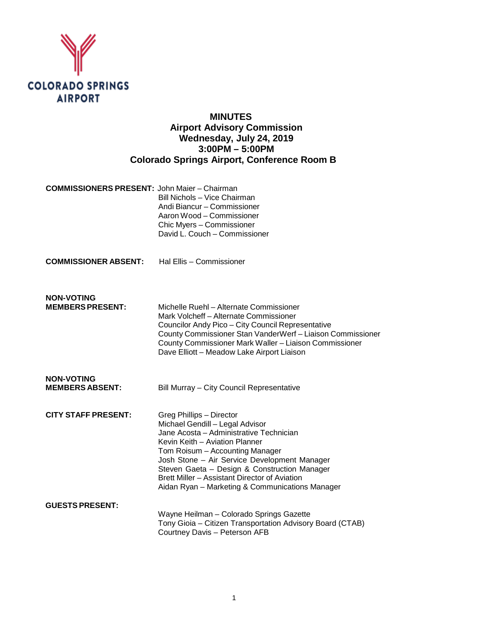

# **MINUTES Airport Advisory Commission Wednesday, July 24, 2019 3:00PM – 5:00PM Colorado Springs Airport, Conference Room B**

| <b>COMMISSIONERS PRESENT: John Maier - Chairman</b> |                               |
|-----------------------------------------------------|-------------------------------|
|                                                     | Bill Nichols - Vice Chairman  |
|                                                     | Andi Biancur - Commissioner   |
|                                                     | Aaron Wood – Commissioner     |
|                                                     | Chic Myers - Commissioner     |
|                                                     | David L. Couch - Commissioner |

**COMMISSIONER ABSENT:** Hal Ellis – Commissioner

**NON-VOTING**

Michelle Ruehl – Alternate Commissioner Mark Volcheff – Alternate Commissioner Councilor Andy Pico – City Council Representative County Commissioner Stan VanderWerf – Liaison Commissioner County Commissioner Mark Waller – Liaison Commissioner Dave Elliott – Meadow Lake Airport Liaison

| NON-VOTING             |                                           |
|------------------------|-------------------------------------------|
| <b>MEMBERS ABSENT:</b> | Bill Murray - City Council Representative |
|                        |                                           |

**CITY STAFF PRESENT:** Greg Phillips – Director Michael Gendill – Legal Advisor Jane Acosta – Administrative Technician Kevin Keith – Aviation Planner Tom Roisum – Accounting Manager Josh Stone – Air Service Development Manager Steven Gaeta – Design & Construction Manager Brett Miller – Assistant Director of Aviation Aidan Ryan – Marketing & Communications Manager **GUESTS PRESENT:**

#### Wayne Heilman – Colorado Springs Gazette Tony Gioia – Citizen Transportation Advisory Board (CTAB) Courtney Davis – Peterson AFB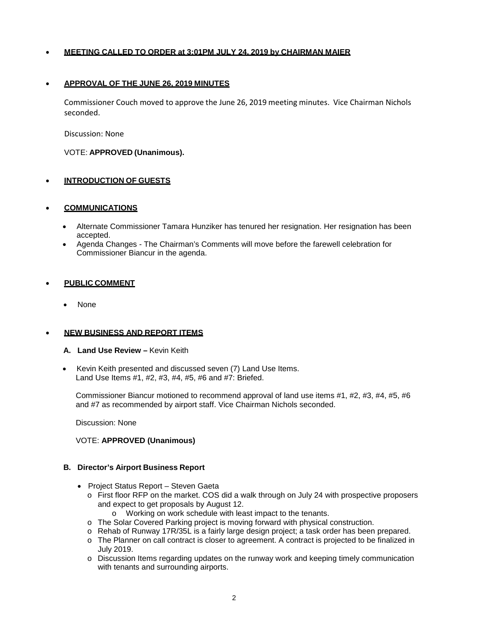### • **MEETING CALLED TO ORDER at 3:01PM JULY 24, 2019 by CHAIRMAN MAIER**

#### • **APPROVAL OF THE JUNE 26, 2019 MINUTES**

Commissioner Couch moved to approve the June 26, 2019 meeting minutes. Vice Chairman Nichols seconded.

Discussion: None

VOTE: **APPROVED (Unanimous).**

### • **INTRODUCTION OF GUESTS**

#### • **COMMUNICATIONS**

- Alternate Commissioner Tamara Hunziker has tenured her resignation. Her resignation has been accepted.
- Agenda Changes The Chairman's Comments will move before the farewell celebration for Commissioner Biancur in the agenda.

#### • **PUBLIC COMMENT**

**None** 

#### • **NEW BUSINESS AND REPORT ITEMS**

- **A. Land Use Review –** Kevin Keith
- Kevin Keith presented and discussed seven (7) Land Use Items. Land Use Items #1, #2, #3, #4, #5, #6 and #7: Briefed.

Commissioner Biancur motioned to recommend approval of land use items #1, #2, #3, #4, #5, #6 and #7 as recommended by airport staff. Vice Chairman Nichols seconded.

Discussion: None

#### VOTE: **APPROVED (Unanimous)**

#### **B. Director's Airport Business Report**

- Project Status Report Steven Gaeta
	- o First floor RFP on the market. COS did a walk through on July 24 with prospective proposers and expect to get proposals by August 12.
		- o Working on work schedule with least impact to the tenants.
	- o The Solar Covered Parking project is moving forward with physical construction.
	- o Rehab of Runway 17R/35L is a fairly large design project; a task order has been prepared.
	- o The Planner on call contract is closer to agreement. A contract is projected to be finalized in July 2019.
	- o Discussion Items regarding updates on the runway work and keeping timely communication with tenants and surrounding airports.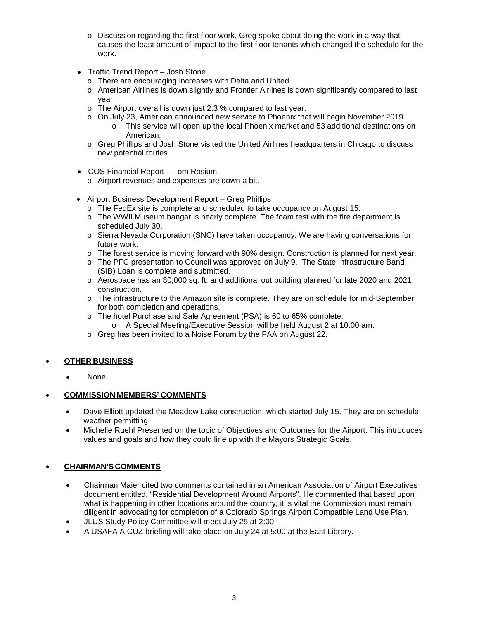- $\circ$  Discussion regarding the first floor work. Greg spoke about doing the work in a way that causes the least amount of impact to the first floor tenants which changed the schedule for the work.
- Traffic Trend Report Josh Stone
	- o There are encouraging increases with Delta and United.
	- o American Airlines is down slightly and Frontier Airlines is down significantly compared to last year.
	- o The Airport overall is down just 2.3 % compared to last year.
	- o On July 23, American announced new service to Phoenix that will begin November 2019. This service will open up the local Phoenix market and 53 additional destinations on
	- American. o Greg Phillips and Josh Stone visited the United Airlines headquarters in Chicago to discuss
	- new potential routes.
- COS Financial Report Tom Rosium
	- o Airport revenues and expenses are down a bit.
- Airport Business Development Report Greg Phillips
	- o The FedEx site is complete and scheduled to take occupancy on August 15.
	- $\circ$  The WWII Museum hangar is nearly complete. The foam test with the fire department is scheduled July 30.
	- o Sierra Nevada Corporation (SNC) have taken occupancy. We are having conversations for future work.
	- o The forest service is moving forward with 90% design. Construction is planned for next year.
	- o The PFC presentation to Council was approved on July 9. The State Infrastructure Band (SIB) Loan is complete and submitted.
	- o Aerospace has an 80,000 sq. ft. and additional out building planned for late 2020 and 2021 construction.
	- o The infrastructure to the Amazon site is complete. They are on schedule for mid-September for both completion and operations.
	- o The hotel Purchase and Sale Agreement (PSA) is 60 to 65% complete.
		- o A Special Meeting/Executive Session will be held August 2 at 10:00 am.
	- o Greg has been invited to a Noise Forum by the FAA on August 22.

### • **OTHER BUSINESS**

None.

## • **COMMISSION MEMBERS' COMMENTS**

- Dave Elliott updated the Meadow Lake construction, which started July 15. They are on schedule weather permitting.
- Michelle Ruehl Presented on the topic of Objectives and Outcomes for the Airport. This introduces values and goals and how they could line up with the Mayors Strategic Goals.

## • **CHAIRMAN'S COMMENTS**

- Chairman Maier cited two comments contained in an American Association of Airport Executives document entitled, "Residential Development Around Airports". He commented that based upon what is happening in other locations around the country, it is vital the Commission must remain diligent in advocating for completion of a Colorado Springs Airport Compatible Land Use Plan.
- JLUS Study Policy Committee will meet July 25 at 2:00.
- A USAFA AICUZ briefing will take place on July 24 at 5:00 at the East Library.